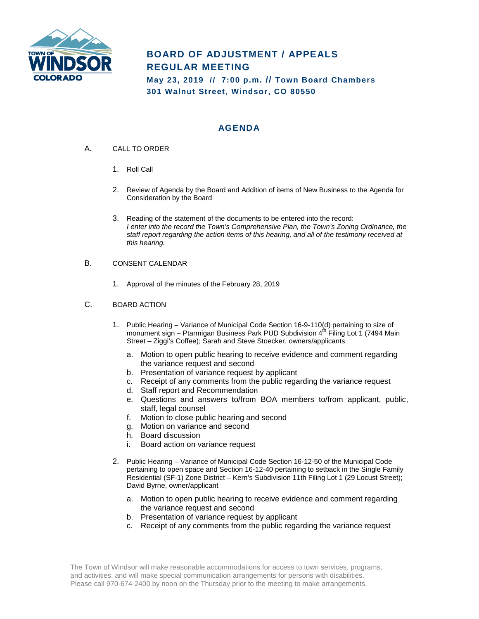

# **BOARD OF ADJUSTMENT / APPEALS REGULAR MEETING**

**May 23, 2019 // 7:00 p.m. // Town Board Chambers 301 Walnut Street, Windsor, CO 80550**

## **AGENDA**

- A. CALL TO ORDER
	- 1. Roll Call
	- 2. Review of Agenda by the Board and Addition of items of New Business to the Agenda for Consideration by the Board
	- 3. Reading of the statement of the documents to be entered into the record: *I enter into the record the Town's Comprehensive Plan, the Town's Zoning Ordinance, the staff report regarding the action items of this hearing, and all of the testimony received at this hearing.*
- B. CONSENT CALENDAR
	- 1. Approval of the minutes of the February 28, 2019
- C. BOARD ACTION
	- 1. Public Hearing Variance of Municipal Code Section 16-9-110(d) pertaining to size of monument sign – Ptarmigan Business Park PUD Subdivision  $4<sup>th</sup>$  Filing Lot 1 (7494 Main Street – Ziggi's Coffee); Sarah and Steve Stoecker, owners/applicants
		- a. Motion to open public hearing to receive evidence and comment regarding the variance request and second
		- b. Presentation of variance request by applicant
		- c. Receipt of any comments from the public regarding the variance request
		- d. Staff report and Recommendation
		- e. Questions and answers to/from BOA members to/from applicant, public, staff, legal counsel
		- f. Motion to close public hearing and second
		- g. Motion on variance and second
		- h. Board discussion
		- i. Board action on variance request
	- 2. Public Hearing Variance of Municipal Code Section 16-12-50 of the Municipal Code pertaining to open space and Section 16-12-40 pertaining to setback in the Single Family Residential (SF-1) Zone District – Kern's Subdivision 11th Filing Lot 1 (29 Locust Street); David Byrne, owner/applicant
		- a. Motion to open public hearing to receive evidence and comment regarding the variance request and second
		- b. Presentation of variance request by applicant
		- c. Receipt of any comments from the public regarding the variance request